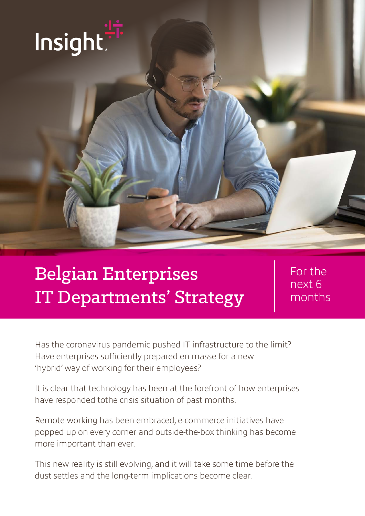

# Belgian Enterprises IT Departments' Strategy

For the next 6 months

Has the coronavirus pandemic pushed IT infrastructure to the limit? Have enterprises sufficiently prepared en masse for a new 'hybrid' way of working for their employees?

It is clear that technology has been at the forefront of how enterprises have responded tothe crisis situation of past months.

Remote working has been embraced, e-commerce initiatives have popped up on every corner and outside-the-box thinking has become more important than ever.

This new reality is still evolving, and it will take some time before the dust settles and the long-term implications become clear.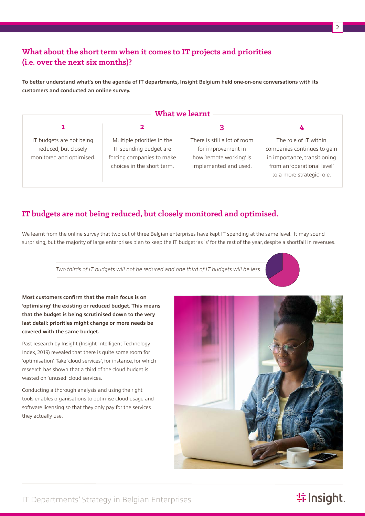## **What about the short term when it comes to IT projects and priorities (i.e. over the next six months)?**

**To better understand what's on the agenda of IT departments, Insight Belgium held one-on-one conversations with its customers and conducted an online survey.**

| What we learnt                                                               |                                                                                                                 |                                                                                                        |                                                                                                                                                  |
|------------------------------------------------------------------------------|-----------------------------------------------------------------------------------------------------------------|--------------------------------------------------------------------------------------------------------|--------------------------------------------------------------------------------------------------------------------------------------------------|
|                                                                              |                                                                                                                 |                                                                                                        |                                                                                                                                                  |
|                                                                              |                                                                                                                 |                                                                                                        |                                                                                                                                                  |
| IT budgets are not being<br>reduced, but closely<br>monitored and optimised. | Multiple priorities in the<br>IT spending budget are<br>forcing companies to make<br>choices in the short term. | There is still a lot of room<br>for improvement in<br>how 'remote working' is<br>implemented and used. | The role of IT within<br>companies continues to gain<br>in importance, transitioning<br>from an 'operational level'<br>to a more strategic role. |

### **IT budgets are not being reduced, but closely monitored and optimised.**

We learnt from the online survey that two out of three Belgian enterprises have kept IT spending at the same level. It may sound surprising, but the majority of large enterprises plan to keep the IT budget 'as is' for the rest of the year, despite a shortfall in revenues.

*Two thirds of IT budgets will not be reduced and one third of IT budgets will be less*

**Most customers confirm that the main focus is on 'optimising' the existing or reduced budget. This means that the budget is being scrutinised down to the very last detail: priorities might change or more needs be covered with the same budget.** 

Past research by Insight (Insight Intelligent Technology Index, 2019) revealed that there is quite some room for 'optimisation'. Take 'cloud services', for instance, for which research has shown that a third of the cloud budget is wasted on 'unused' cloud services.

Conducting a thorough analysis and using the right tools enables organisations to optimise cloud usage and software licensing so that they only pay for the services they actually use.



## **特 Insight**.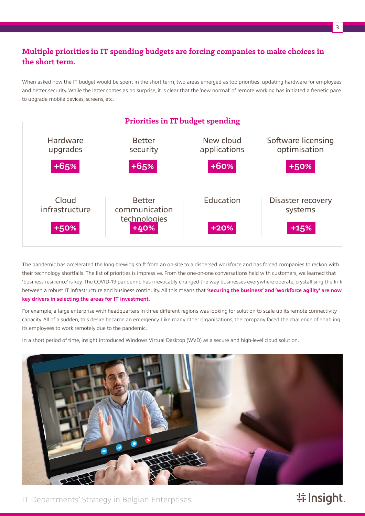## **Multiple priorities in IT spending budgets are forcing companies to make choices in the short term.**

When asked how the IT budget would be spent in the short term, two areas emerged as top priorities: updating hardware for employees and better security. While the latter comes as no surprise, it is clear that the 'new normal' of remote working has initiated a frenetic pace to upgrade mobile devices, screens, etc.



The pandemic has accelerated the long-brewing shift from an on-site to a dispersed workforce and has forced companies to reckon with their technology shortfalls. The list of priorities is impressive. From the one-on-one conversations held with customers, we learned that 'business resilience' is key. The COVID-19 pandemic has irrevocably changed the way businesses everywhere operate, crystallising the link between a robust IT infrastructure and business continuity. All this means that **'securing the business' and 'workforce agility' are now key drivers in selecting the areas for IT investment.**

For example, a large enterprise with headquarters in three different regions was looking for solution to scale up its remote connectivity capacity. All of a sudden, this desire became an emergency. Like many other organisations, the company faced the challenge of enabling its employees to work remotely due to the pandemic.

In a short period of time, Insight introduced Windows Virtual Desktop (WVD) as a secure and high-level cloud solution.



IT Departments' Strategy in Belgian Enterprises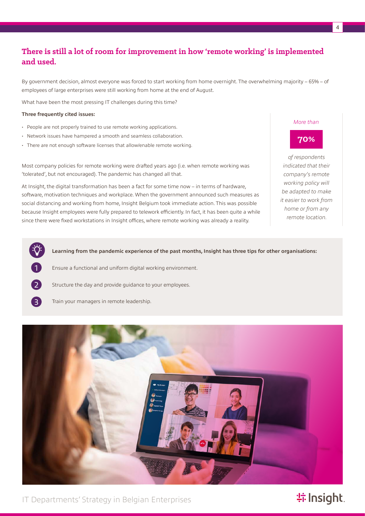## **There is still a lot of room for improvement in how 'remote working' is implemented and used.**

By government decision, almost everyone was forced to start working from home overnight. The overwhelming majority – 65% – of employees of large enterprises were still working from home at the end of August.

What have been the most pressing IT challenges during this time?

#### **Three frequently cited issues:**

1

 $\left( 2\right)$ 

3

- People are not properly trained to use remote working applications.
- Network issues have hampered a smooth and seamless collaboration.
- There are not enough software licenses that allow/enable remote working.

Most company policies for remote working were drafted years ago (i.e. when remote working was 'tolerated', but not encouraged). The pandemic has changed all that.

At Insight, the digital transformation has been a fact for some time now – in terms of hardware, software, motivation techniques and workplace. When the government announced such measures as social distancing and working from home, Insight Belgium took immediate action. This was possible because Insight employees were fully prepared to telework efficiently. In fact, it has been quite a while since there were fixed workstations in Insight offices, where remote working was already a reality.

*More than*

### **70%**

*of respondents indicated that their company's remote working policy will be adapted to make it easier to work from home or from any remote location.*

**Learning from the pandemic experience of the past months, Insight has three tips for other organisations:**

- Ensure a functional and uniform digital working environment.
- Structure the day and provide guidance to your employees.
- Train your managers in remote leadership.



IT Departments' Strategy in Belgian Enterprises

# **特Insight**.